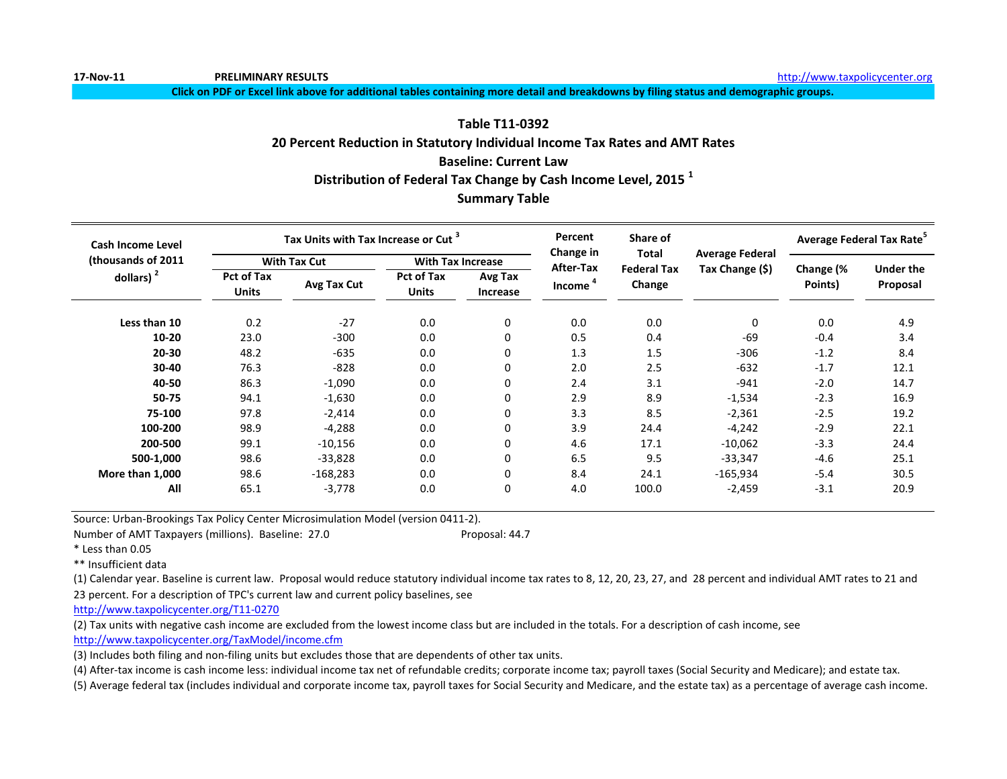**Click on PDF or Excel link above for additional tables containing more detail and breakdowns by filing status and demographic groups.**

# **Table T11-0392 20 Percent Reduction in Statutory Individual Income Tax Rates and AMT Rates Baseline: Current Law Distribution of Federal Tax Change by Cash Income Level, 2015 <sup>1</sup> Summary Table**

| Cash Income Level   |                                   | Tax Units with Tax Increase or Cut <sup>3</sup> |                                   |                            | Percent<br>Change in | Share of<br><b>Total</b>     |                        | Average Federal Tax Rate <sup>5</sup> |                       |
|---------------------|-----------------------------------|-------------------------------------------------|-----------------------------------|----------------------------|----------------------|------------------------------|------------------------|---------------------------------------|-----------------------|
| (thousands of 2011) |                                   | <b>With Tax Cut</b>                             | <b>With Tax Increase</b>          |                            | After-Tax            |                              | <b>Average Federal</b> |                                       |                       |
| dollars) $2$        | <b>Pct of Tax</b><br><b>Units</b> | Avg Tax Cut                                     | <b>Pct of Tax</b><br><b>Units</b> | Avg Tax<br><b>Increase</b> | Income <sup>4</sup>  | <b>Federal Tax</b><br>Change | Tax Change (\$)        | Change (%<br>Points)                  | Under the<br>Proposal |
| Less than 10        | 0.2                               | $-27$                                           | 0.0                               | 0                          | 0.0                  | 0.0                          | 0                      | 0.0                                   | 4.9                   |
| $10 - 20$           | 23.0                              | $-300$                                          | 0.0                               | 0                          | 0.5                  | 0.4                          | $-69$                  | $-0.4$                                | 3.4                   |
| 20-30               | 48.2                              | $-635$                                          | 0.0                               | 0                          | 1.3                  | 1.5                          | $-306$                 | $-1.2$                                | 8.4                   |
| 30-40               | 76.3                              | $-828$                                          | 0.0                               | 0                          | 2.0                  | 2.5                          | $-632$                 | $-1.7$                                | 12.1                  |
| 40-50               | 86.3                              | $-1,090$                                        | 0.0                               | 0                          | 2.4                  | 3.1                          | $-941$                 | $-2.0$                                | 14.7                  |
| 50-75               | 94.1                              | $-1,630$                                        | 0.0                               | 0                          | 2.9                  | 8.9                          | $-1,534$               | $-2.3$                                | 16.9                  |
| 75-100              | 97.8                              | $-2,414$                                        | 0.0                               | 0                          | 3.3                  | 8.5                          | $-2,361$               | $-2.5$                                | 19.2                  |
| 100-200             | 98.9                              | $-4,288$                                        | 0.0                               | 0                          | 3.9                  | 24.4                         | $-4,242$               | $-2.9$                                | 22.1                  |
| 200-500             | 99.1                              | $-10,156$                                       | 0.0                               | 0                          | 4.6                  | 17.1                         | $-10,062$              | $-3.3$                                | 24.4                  |
| 500-1,000           | 98.6                              | $-33,828$                                       | 0.0                               | 0                          | 6.5                  | 9.5                          | $-33,347$              | $-4.6$                                | 25.1                  |
| More than 1,000     | 98.6                              | $-168,283$                                      | 0.0                               | 0                          | 8.4                  | 24.1                         | $-165,934$             | $-5.4$                                | 30.5                  |
| All                 | 65.1                              | $-3,778$                                        | 0.0                               | 0                          | 4.0                  | 100.0                        | $-2,459$               | $-3.1$                                | 20.9                  |

Source: Urban-Brookings Tax Policy Center Microsimulation Model (version 0411-2).

Number of AMT Taxpayers (millions). Baseline: 27.0 Proposal: 44.7

\* Less than 0.05

\*\* Insufficient data

(1) Calendar year. Baseline is current law. Proposal would reduce statutory individual income tax rates to 8, 12, 20, 23, 27, and 28 percent and individual AMT rates to 21 and 23 percent. For a description of TPC's current law and current policy baselines, see

[http://www.taxpolicycente](http://www.taxpolicycenter.org/T11-0270)r.org/T11-0270

(2) Tax units with negative cash income are excluded from the lowest income class but are included in the totals. For a description of cash income, see [http://www.taxpolicycente](http://www.taxpolicycenter.org/TaxModel/income.cfm)r.org/TaxModel/income.cfm

(3) Includes both filing and non-filing units but excludes those that are dependents of other tax units.

(4) After-tax income is cash income less: individual income tax net of refundable credits; corporate income tax; payroll taxes (Social Security and Medicare); and estate tax.

(5) Average federal tax (includes individual and corporate income tax, payroll taxes for Social Security and Medicare, and the estate tax) as a percentage of average cash income.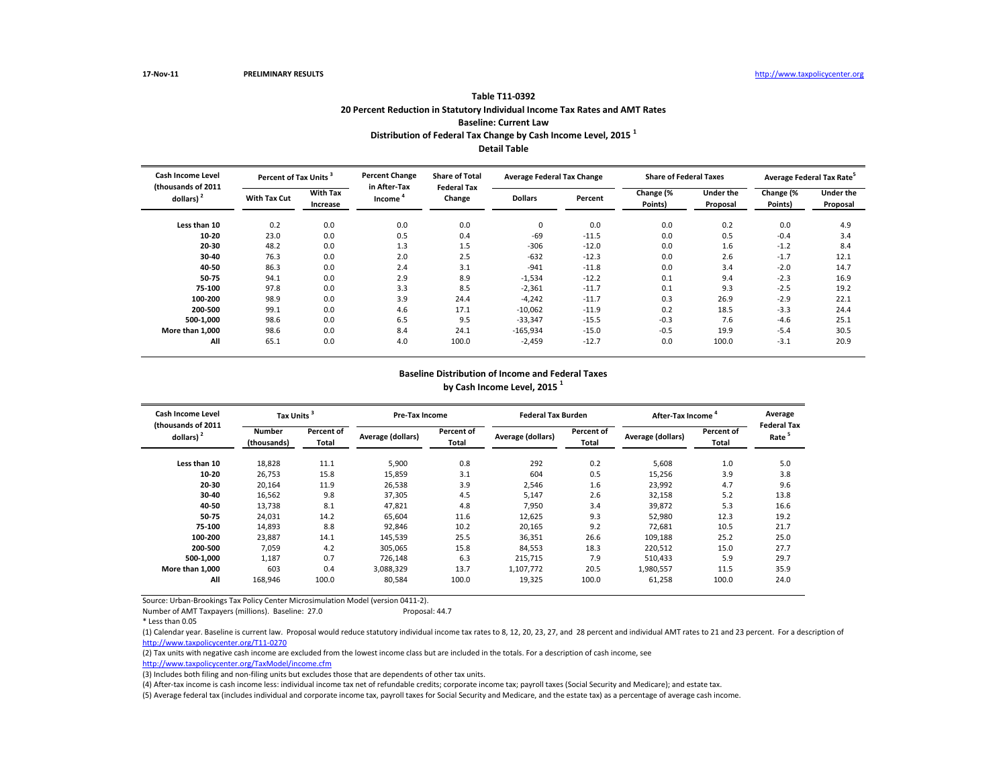Number of AMT Taxpayers (millions). Baseline: 27.0

(4) After-tax income is cash income less: individual income tax net of refundable credits; corporate income tax; payroll taxes (Social Security and Medicare); and estate tax.

| <b>Cash Income Level</b><br>(thousands of 2011 | Percent of Tax Units <sup>3</sup> |                             | <b>Percent Change</b><br><b>Share of Total</b><br>in After-Tax |                              | <b>Average Federal Tax Change</b> |         | <b>Share of Federal Taxes</b> |                              | Average Federal Tax Rate <sup>5</sup> |                              |
|------------------------------------------------|-----------------------------------|-----------------------------|----------------------------------------------------------------|------------------------------|-----------------------------------|---------|-------------------------------|------------------------------|---------------------------------------|------------------------------|
| dollars) $2$                                   | <b>With Tax Cut</b>               | <b>With Tax</b><br>Increase | Income                                                         | <b>Federal Tax</b><br>Change | <b>Dollars</b>                    | Percent | Change (%<br>Points)          | <b>Under the</b><br>Proposal | Change (%<br>Points)                  | <b>Under the</b><br>Proposal |
| Less than 10                                   | 0.2                               | 0.0                         | 0.0                                                            | 0.0                          | 0                                 | 0.0     | 0.0                           | 0.2                          | 0.0                                   | 4.9                          |
| $10 - 20$                                      | 23.0                              | 0.0                         | 0.5                                                            | 0.4                          | $-69$                             | $-11.5$ | 0.0                           | 0.5                          | $-0.4$                                | 3.4                          |
| $20 - 30$                                      | 48.2                              | 0.0                         | 1.3                                                            | 1.5                          | $-306$                            | $-12.0$ | 0.0                           | 1.6                          | $-1.2$                                | 8.4                          |
| 30-40                                          | 76.3                              | 0.0                         | 2.0                                                            | 2.5                          | $-632$                            | $-12.3$ | 0.0                           | 2.6                          | $-1.7$                                | 12.1                         |
| 40-50                                          | 86.3                              | 0.0                         | 2.4                                                            | 3.1                          | $-941$                            | $-11.8$ | 0.0                           | 3.4                          | $-2.0$                                | 14.7                         |
| 50-75                                          | 94.1                              | 0.0                         | 2.9                                                            | 8.9                          | $-1,534$                          | $-12.2$ | 0.1                           | 9.4                          | $-2.3$                                | 16.9                         |
| 75-100                                         | 97.8                              | 0.0                         | 3.3                                                            | 8.5                          | $-2,361$                          | $-11.7$ | 0.1                           | 9.3                          | $-2.5$                                | 19.2                         |
| 100-200                                        | 98.9                              | 0.0                         | 3.9                                                            | 24.4                         | $-4,242$                          | $-11.7$ | 0.3                           | 26.9                         | $-2.9$                                | 22.1                         |
| 200-500                                        | 99.1                              | 0.0                         | 4.6                                                            | 17.1                         | $-10,062$                         | $-11.9$ | 0.2                           | 18.5                         | $-3.3$                                | 24.4                         |
| 500-1,000                                      | 98.6                              | 0.0                         | 6.5                                                            | 9.5                          | $-33,347$                         | $-15.5$ | $-0.3$                        | 7.6                          | $-4.6$                                | 25.1                         |
| More than 1,000                                | 98.6                              | 0.0                         | 8.4                                                            | 24.1                         | $-165,934$                        | $-15.0$ | $-0.5$                        | 19.9                         | $-5.4$                                | 30.5                         |
| All                                            | 65.1                              | 0.0                         | 4.0                                                            | 100.0                        | $-2,459$                          | $-12.7$ | 0.0                           | 100.0                        | $-3.1$                                | 20.9                         |

(5) Average federal tax (includes individual and corporate income tax, payroll taxes for Social Security and Medicare, and the estate tax) as a percentage of average cash income.

| <b>Cash Income Level</b><br>(thousands of 2011 | Tax Units <sup>3</sup>       |                                   | <b>Pre-Tax Income</b> |                            |                   | <b>Federal Tax Burden</b> |                          | After-Tax Income <sup>4</sup> | Average<br><b>Federal Ta</b> |
|------------------------------------------------|------------------------------|-----------------------------------|-----------------------|----------------------------|-------------------|---------------------------|--------------------------|-------------------------------|------------------------------|
| dollars) $2$                                   | <b>Number</b><br>(thousands) | <b>Percent of</b><br><b>Total</b> | Average (dollars)     | Percent of<br><b>Total</b> | Average (dollars) | Percent of<br>Total       | <b>Average (dollars)</b> | Percent of<br>Total           | Rate <sup>5</sup>            |
| Less than 10                                   | 18,828                       | 11.1                              | 5,900                 | 0.8                        | 292               | 0.2                       | 5,608                    | 1.0                           | 5.0                          |
| $10 - 20$                                      | 26,753                       | 15.8                              | 15,859                | 3.1                        | 604               | 0.5                       | 15,256                   | 3.9                           | 3.8                          |
| $20 - 30$                                      | 20,164                       | 11.9                              | 26,538                | 3.9                        | 2,546             | 1.6                       | 23,992                   | 4.7                           | 9.6                          |
| $30 - 40$                                      | 16,562                       | 9.8                               | 37,305                | 4.5                        | 5,147             | 2.6                       | 32,158                   | 5.2                           | 13.8                         |
| 40-50                                          | 13,738                       | 8.1                               | 47,821                | 4.8                        | 7,950             | 3.4                       | 39,872                   | 5.3                           | 16.6                         |
| 50-75                                          | 24,031                       | 14.2                              | 65,604                | 11.6                       | 12,625            | 9.3                       | 52,980                   | 12.3                          | 19.2                         |
| 75-100                                         | 14,893                       | 8.8                               | 92,846                | 10.2                       | 20,165            | 9.2                       | 72,681                   | 10.5                          | 21.7                         |
| 100-200                                        | 23,887                       | 14.1                              | 145,539               | 25.5                       | 36,351            | 26.6                      | 109,188                  | 25.2                          | 25.0                         |
| 200-500                                        | 7,059                        | 4.2                               | 305,065               | 15.8                       | 84,553            | 18.3                      | 220,512                  | 15.0                          | 27.7                         |
| 500-1,000                                      | 1,187                        | 0.7                               | 726,148               | 6.3                        | 215,715           | 7.9                       | 510,433                  | 5.9                           | 29.7                         |
| More than 1,000                                | 603                          | 0.4                               | 3,088,329             | 13.7                       | 1,107,772         | 20.5                      | 1,980,557                | 11.5                          | 35.9                         |
| All                                            | 168,946                      | 100.0                             | 80,584                | 100.0                      | 19,325            | 100.0                     | 61,258                   | 100.0                         | 24.0                         |

(1) Calendar year. Baseline is current law. Proposal would reduce statutory individual income tax rates to 8, 12, 20, 23, 27, and 28 percent and individual AMT rates to 21 and 23 percent. For a description of [http://www.taxpolicycente](http://www.taxpolicycenter.org/T11-0270)r.org/T11-0270

(2) Tax units with negative cash income are excluded from the lowest income class but are included in the totals. For a description of cash income, see [http://www.taxpolicycente](http://www.taxpolicycenter.org/TaxModel/income.cfm)r.org/TaxModel/income.cfm

(3) Includes both filing and non-filing units but excludes those that are dependents of other tax units.

### **Baseline Distribution of Income and Federal Taxes by Cash Income Level, 2015 <sup>1</sup>**

| 5.0<br>3.8                                                                  |
|-----------------------------------------------------------------------------|
| 9.6<br>13.8<br>16.6<br>19.2<br>21.7<br>25.0<br>27.7<br>29.7<br>35.9<br>24.0 |

## **Table T11-0392 20 Percent Reduction in Statutory Individual Income Tax Rates and AMT Rates Baseline: Current Law Distribution of Federal Tax Change by Cash Income Level, 2015 <sup>1</sup> Detail Table**

<sup>\*</sup> Less than 0.05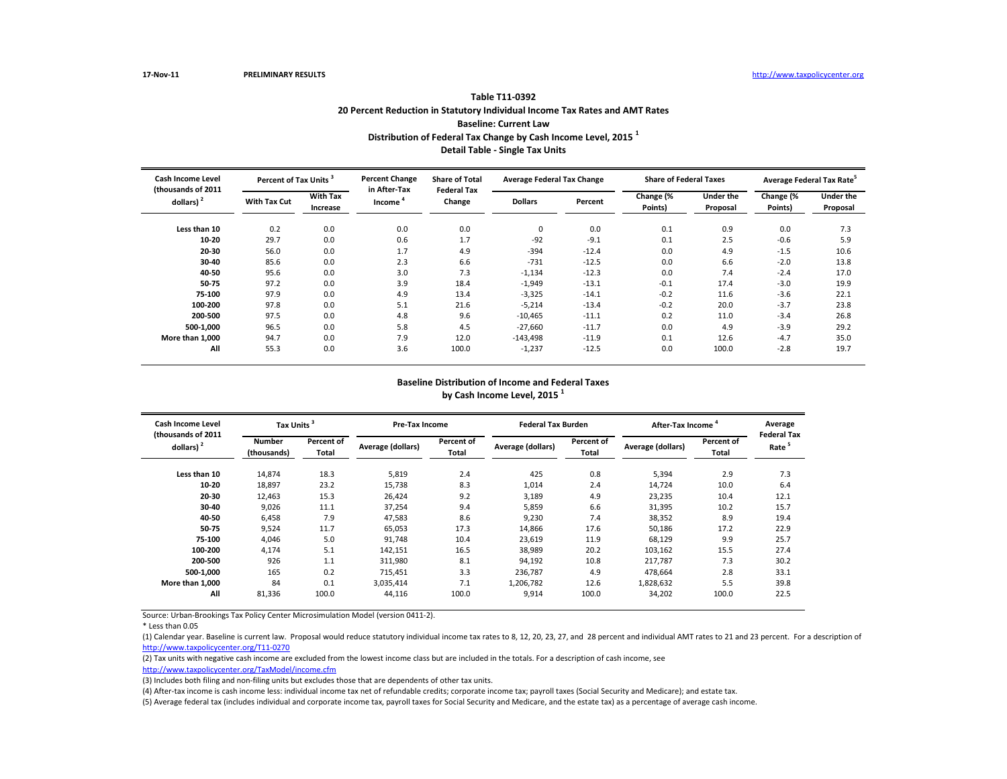\* Less than 0.05

(5) Average federal tax (includes individual and corporate income tax, payroll taxes for Social Security and Medicare, and the estate tax) as a percentage of average cash income.

| Cash Income Level<br>(thousands of 2011 | Percent of Tax Units <sup>3</sup> |                             | <b>Percent Change</b><br>in After-Tax | <b>Share of Total</b><br><b>Federal Tax</b> | <b>Average Federal Tax Change</b> |         | <b>Share of Federal Taxes</b> |                       |                      | Average Federal Tax Rate <sup>5</sup> |
|-----------------------------------------|-----------------------------------|-----------------------------|---------------------------------------|---------------------------------------------|-----------------------------------|---------|-------------------------------|-----------------------|----------------------|---------------------------------------|
| dollars) $2$                            | <b>With Tax Cut</b>               | <b>With Tax</b><br>Increase | Income                                | Change                                      | <b>Dollars</b>                    | Percent | Change (%<br>Points)          | Under the<br>Proposal | Change (%<br>Points) | <b>Under the</b><br>Proposal          |
| Less than 10                            | 0.2                               | 0.0                         | 0.0                                   | 0.0                                         | 0                                 | 0.0     | 0.1                           | 0.9                   | 0.0                  | 7.3                                   |
| 10-20                                   | 29.7                              | 0.0                         | 0.6                                   | 1.7                                         | $-92$                             | $-9.1$  | 0.1                           | 2.5                   | $-0.6$               | 5.9                                   |
| 20-30                                   | 56.0                              | 0.0                         | 1.7                                   | 4.9                                         | $-394$                            | $-12.4$ | 0.0                           | 4.9                   | $-1.5$               | 10.6                                  |
| $30 - 40$                               | 85.6                              | 0.0                         | 2.3                                   | 6.6                                         | $-731$                            | $-12.5$ | 0.0                           | 6.6                   | $-2.0$               | 13.8                                  |
| 40-50                                   | 95.6                              | 0.0                         | 3.0                                   | 7.3                                         | $-1,134$                          | $-12.3$ | 0.0                           | 7.4                   | $-2.4$               | 17.0                                  |
| 50-75                                   | 97.2                              | 0.0                         | 3.9                                   | 18.4                                        | $-1,949$                          | $-13.1$ | $-0.1$                        | 17.4                  | $-3.0$               | 19.9                                  |
| 75-100                                  | 97.9                              | 0.0                         | 4.9                                   | 13.4                                        | $-3,325$                          | $-14.1$ | $-0.2$                        | 11.6                  | $-3.6$               | 22.1                                  |
| 100-200                                 | 97.8                              | 0.0                         | 5.1                                   | 21.6                                        | $-5,214$                          | $-13.4$ | $-0.2$                        | 20.0                  | $-3.7$               | 23.8                                  |
| 200-500                                 | 97.5                              | 0.0                         | 4.8                                   | 9.6                                         | $-10,465$                         | $-11.1$ | 0.2                           | 11.0                  | $-3.4$               | 26.8                                  |
| 500-1,000                               | 96.5                              | 0.0                         | 5.8                                   | 4.5                                         | $-27,660$                         | $-11.7$ | 0.0                           | 4.9                   | $-3.9$               | 29.2                                  |
| More than 1,000                         | 94.7                              | 0.0                         | 7.9                                   | 12.0                                        | $-143,498$                        | $-11.9$ | 0.1                           | 12.6                  | $-4.7$               | 35.0                                  |
| All                                     | 55.3                              | 0.0                         | 3.6                                   | 100.0                                       | $-1,237$                          | $-12.5$ | 0.0                           | 100.0                 | $-2.8$               | 19.7                                  |

| <b>Cash Income Level</b>            | Tax Units <sup>3</sup> |                     | <b>Pre-Tax Income</b> |                     | <b>Federal Tax Burden</b> |                            | After-Tax Income <sup>4</sup> |                     | Average                                |
|-------------------------------------|------------------------|---------------------|-----------------------|---------------------|---------------------------|----------------------------|-------------------------------|---------------------|----------------------------------------|
| (thousands of 2011)<br>dollars) $2$ | Number<br>(thousands)  | Percent of<br>Total | Average (dollars)     | Percent of<br>Total | Average (dollars)         | <b>Percent of</b><br>Total | Average (dollars)             | Percent of<br>Total | <b>Federal Ta</b><br>Rate <sup>5</sup> |
| Less than 10                        | 14,874                 | 18.3                | 5,819                 | 2.4                 | 425                       | 0.8                        | 5,394                         | 2.9                 | 7.3                                    |
| $10 - 20$                           | 18,897                 | 23.2                | 15,738                | 8.3                 | 1,014                     | 2.4                        | 14,724                        | 10.0                | 6.4                                    |
| $20 - 30$                           | 12,463                 | 15.3                | 26,424                | 9.2                 | 3,189                     | 4.9                        | 23,235                        | 10.4                | 12.1                                   |
| 30-40                               | 9,026                  | 11.1                | 37,254                | 9.4                 | 5,859                     | 6.6                        | 31,395                        | 10.2                | 15.7                                   |
| 40-50                               | 6,458                  | 7.9                 | 47,583                | 8.6                 | 9,230                     | 7.4                        | 38,352                        | 8.9                 | 19.4                                   |
| 50-75                               | 9,524                  | 11.7                | 65,053                | 17.3                | 14,866                    | 17.6                       | 50,186                        | 17.2                | 22.9                                   |
| 75-100                              | 4,046                  | 5.0                 | 91,748                | 10.4                | 23,619                    | 11.9                       | 68,129                        | 9.9                 | 25.7                                   |
| 100-200                             | 4,174                  | 5.1                 | 142,151               | 16.5                | 38,989                    | 20.2                       | 103,162                       | 15.5                | 27.4                                   |
| 200-500                             | 926                    | 1.1                 | 311,980               | 8.1                 | 94,192                    | 10.8                       | 217,787                       | 7.3                 | 30.2                                   |
| 500-1.000                           | 165                    | 0.2                 | 715,451               | 3.3                 | 236,787                   | 4.9                        | 478,664                       | 2.8                 | 33.1                                   |
| More than 1.000                     | 84                     | 0.1                 | 3,035,414             | 7.1                 | 1,206,782                 | 12.6                       | 1,828,632                     | 5.5                 | 39.8                                   |
| All                                 | 81,336                 | 100.0               | 44,116                | 100.0               | 9,914                     | 100.0                      | 34,202                        | 100.0               | 22.5                                   |

(1) Calendar year. Baseline is current law. Proposal would reduce statutory individual income tax rates to 8, 12, 20, 23, 27, and 28 percent and individual AMT rates to 21 and 23 percent. For a description of [http://www.taxpolicycente](http://www.taxpolicycenter.org/T11-0270)r.org/T11-0270

(2) Tax units with negative cash income are excluded from the lowest income class but are included in the totals. For a description of cash income, see [http://www.taxpolicycente](http://www.taxpolicycenter.org/TaxModel/income.cfm)r.org/TaxModel/income.cfm

(3) Includes both filing and non-filing units but excludes those that are dependents of other tax units.

(4) After-tax income is cash income less: individual income tax net of refundable credits; corporate income tax; payroll taxes (Social Security and Medicare); and estate tax.

### **Baseline Distribution of Income and Federal Taxes by Cash Income Level, 2015 <sup>1</sup>**

| Average<br><b>Federal Tax</b><br>Rate <sup>5</sup> |  |  |  |  |  |  |  |  |  |
|----------------------------------------------------|--|--|--|--|--|--|--|--|--|
| 7.3                                                |  |  |  |  |  |  |  |  |  |
| 6.4                                                |  |  |  |  |  |  |  |  |  |
| 12.1                                               |  |  |  |  |  |  |  |  |  |
| 15.7                                               |  |  |  |  |  |  |  |  |  |
| 19.4                                               |  |  |  |  |  |  |  |  |  |
| 22.9                                               |  |  |  |  |  |  |  |  |  |
| 25.7                                               |  |  |  |  |  |  |  |  |  |
| 27.4                                               |  |  |  |  |  |  |  |  |  |
| 30.2                                               |  |  |  |  |  |  |  |  |  |
| 33.1                                               |  |  |  |  |  |  |  |  |  |
| 39.8                                               |  |  |  |  |  |  |  |  |  |
| 22.5                                               |  |  |  |  |  |  |  |  |  |
|                                                    |  |  |  |  |  |  |  |  |  |

## **Table T11-0392 20 Percent Reduction in Statutory Individual Income Tax Rates and AMT Rates Baseline: Current Law Distribution of Federal Tax Change by Cash Income Level, 2015 <sup>1</sup> Detail Table - Single Tax Units**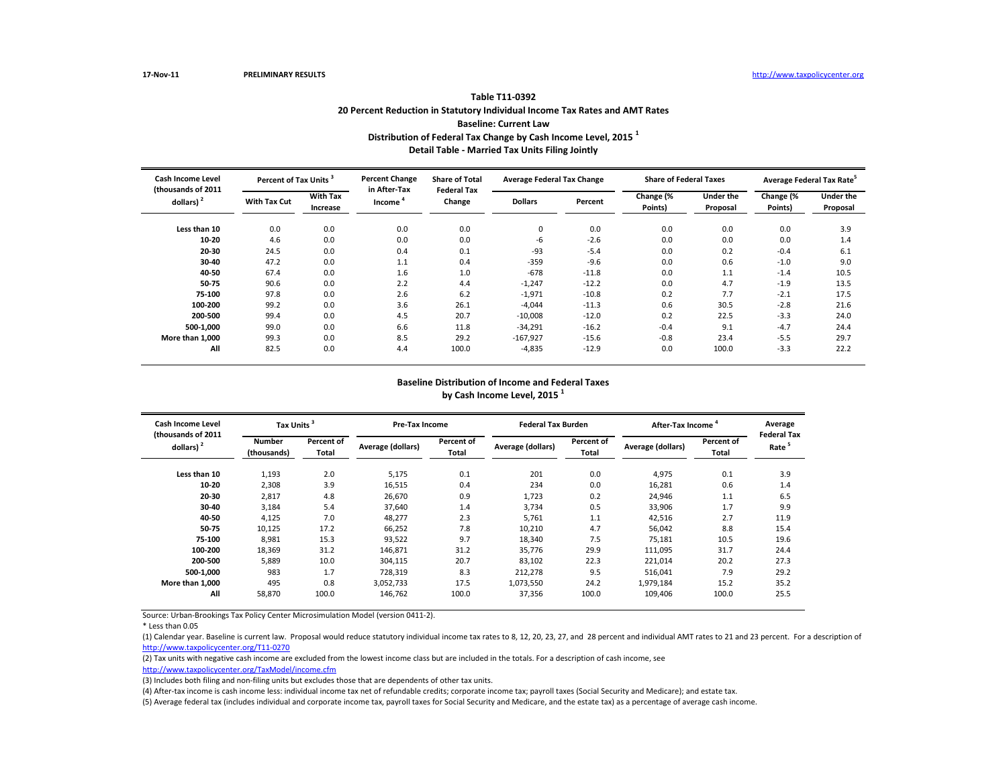\* Less than 0.05

(5) Average federal tax (includes individual and corporate income tax, payroll taxes for Social Security and Medicare, and the estate tax) as a percentage of average cash income.

| Cash Income Level<br>(thousands of 2011 | Percent of Tax Units <sup>3</sup> |                             | <b>Percent Change</b><br>in After-Tax | <b>Share of Total</b><br><b>Federal Tax</b> | <b>Average Federal Tax Change</b> |         | <b>Share of Federal Taxes</b> |                              |                      | Average Federal Tax Rate <sup>5</sup> |
|-----------------------------------------|-----------------------------------|-----------------------------|---------------------------------------|---------------------------------------------|-----------------------------------|---------|-------------------------------|------------------------------|----------------------|---------------------------------------|
| dollars) $2$                            | <b>With Tax Cut</b>               | <b>With Tax</b><br>Increase | Income                                | Change                                      |                                   | Percent | Change (%<br>Points)          | <b>Under the</b><br>Proposal | Change (%<br>Points) | Under the<br>Proposal                 |
| Less than 10                            | 0.0                               | 0.0                         | 0.0                                   | 0.0                                         | $\Omega$                          | 0.0     | 0.0                           | 0.0                          | 0.0                  | 3.9                                   |
| $10 - 20$                               | 4.6                               | 0.0                         | 0.0                                   | 0.0                                         | -6                                | $-2.6$  | 0.0                           | 0.0                          | 0.0                  | 1.4                                   |
| $20 - 30$                               | 24.5                              | 0.0                         | 0.4                                   | 0.1                                         | -93                               | $-5.4$  | 0.0                           | 0.2                          | $-0.4$               | 6.1                                   |
| $30 - 40$                               | 47.2                              | 0.0                         | 1.1                                   | 0.4                                         | $-359$                            | $-9.6$  | 0.0                           | 0.6                          | $-1.0$               | 9.0                                   |
| 40-50                                   | 67.4                              | 0.0                         | 1.6                                   | 1.0                                         | $-678$                            | $-11.8$ | 0.0                           | 1.1                          | $-1.4$               | 10.5                                  |
| 50-75                                   | 90.6                              | 0.0                         | 2.2                                   | 4.4                                         | $-1,247$                          | $-12.2$ | 0.0                           | 4.7                          | $-1.9$               | 13.5                                  |
| 75-100                                  | 97.8                              | 0.0                         | 2.6                                   | 6.2                                         | $-1,971$                          | $-10.8$ | 0.2                           | 7.7                          | $-2.1$               | 17.5                                  |
| 100-200                                 | 99.2                              | 0.0                         | 3.6                                   | 26.1                                        | $-4,044$                          | $-11.3$ | 0.6                           | 30.5                         | $-2.8$               | 21.6                                  |
| 200-500                                 | 99.4                              | 0.0                         | 4.5                                   | 20.7                                        | $-10,008$                         | $-12.0$ | 0.2                           | 22.5                         | $-3.3$               | 24.0                                  |
| 500-1,000                               | 99.0                              | 0.0                         | 6.6                                   | 11.8                                        | $-34,291$                         | $-16.2$ | $-0.4$                        | 9.1                          | $-4.7$               | 24.4                                  |
| More than 1,000                         | 99.3                              | 0.0                         | 8.5                                   | 29.2                                        | $-167,927$                        | $-15.6$ | $-0.8$                        | 23.4                         | $-5.5$               | 29.7                                  |
| All                                     | 82.5                              | 0.0                         | 4.4                                   | 100.0                                       | $-4,835$                          | $-12.9$ | 0.0                           | 100.0                        | $-3.3$               | 22.2                                  |

| <b>Cash Income Level</b>            | Tax Units <sup>3</sup> |                                   | <b>Pre-Tax Income</b> |                            | <b>Federal Tax Burden</b> |                     | After-Tax Income  |                            | Average                                |
|-------------------------------------|------------------------|-----------------------------------|-----------------------|----------------------------|---------------------------|---------------------|-------------------|----------------------------|----------------------------------------|
| (thousands of 2011)<br>dollars) $2$ | Number<br>(thousands)  | <b>Percent of</b><br><b>Total</b> | Average (dollars)     | <b>Percent of</b><br>Total | <b>Average (dollars)</b>  | Percent of<br>Total | Average (dollars) | <b>Percent of</b><br>Total | <b>Federal Ta</b><br>Rate <sup>5</sup> |
| Less than 10                        | 1,193                  | 2.0                               | 5,175                 | 0.1                        | 201                       | 0.0                 | 4,975             | 0.1                        | 3.9                                    |
| $10 - 20$                           | 2,308                  | 3.9                               | 16,515                | 0.4                        | 234                       | 0.0                 | 16,281            | 0.6                        | 1.4                                    |
| $20 - 30$                           | 2,817                  | 4.8                               | 26,670                | 0.9                        | 1,723                     | 0.2                 | 24,946            | 1.1                        | 6.5                                    |
| $30-40$                             | 3,184                  | 5.4                               | 37,640                | 1.4                        | 3,734                     | 0.5                 | 33,906            | 1.7                        | 9.9                                    |
| 40-50                               | 4,125                  | 7.0                               | 48,277                | 2.3                        | 5,761                     | 1.1                 | 42,516            | 2.7                        | 11.9                                   |
| 50-75                               | 10,125                 | 17.2                              | 66,252                | 7.8                        | 10,210                    | 4.7                 | 56,042            | 8.8                        | 15.4                                   |
| 75-100                              | 8,981                  | 15.3                              | 93,522                | 9.7                        | 18,340                    | 7.5                 | 75,181            | 10.5                       | 19.6                                   |
| 100-200                             | 18,369                 | 31.2                              | 146,871               | 31.2                       | 35,776                    | 29.9                | 111,095           | 31.7                       | 24.4                                   |
| 200-500                             | 5,889                  | 10.0                              | 304,115               | 20.7                       | 83,102                    | 22.3                | 221,014           | 20.2                       | 27.3                                   |
| 500-1,000                           | 983                    | 1.7                               | 728,319               | 8.3                        | 212,278                   | 9.5                 | 516,041           | 7.9                        | 29.2                                   |
| More than 1,000                     | 495                    | 0.8                               | 3,052,733             | 17.5                       | 1,073,550                 | 24.2                | 1,979,184         | 15.2                       | 35.2                                   |
| All                                 | 58,870                 | 100.0                             | 146,762               | 100.0                      | 37,356                    | 100.0               | 109,406           | 100.0                      | 25.5                                   |

(1) Calendar year. Baseline is current law. Proposal would reduce statutory individual income tax rates to 8, 12, 20, 23, 27, and 28 percent and individual AMT rates to 21 and 23 percent. For a description of [http://www.taxpolicycente](http://www.taxpolicycenter.org/T11-0270)r.org/T11-0270

(2) Tax units with negative cash income are excluded from the lowest income class but are included in the totals. For a description of cash income, see [http://www.taxpolicycente](http://www.taxpolicycenter.org/TaxModel/income.cfm)r.org/TaxModel/income.cfm

(3) Includes both filing and non-filing units but excludes those that are dependents of other tax units.

(4) After-tax income is cash income less: individual income tax net of refundable credits; corporate income tax; payroll taxes (Social Security and Medicare); and estate tax.

### **Baseline Distribution of Income and Federal Taxes by Cash Income Level, 2015 <sup>1</sup>**

| Average<br><b>Federal Tax</b><br>Rate <sup>5</sup>                                       |  |  |  |  |  |  |  |  |  |
|------------------------------------------------------------------------------------------|--|--|--|--|--|--|--|--|--|
| 3.9<br>1.4<br>6.5<br>9.9<br>11.9<br>15.4<br>19.6<br>24.4<br>27.3<br>29.2<br>35.2<br>25.5 |  |  |  |  |  |  |  |  |  |
|                                                                                          |  |  |  |  |  |  |  |  |  |

## **Table T11-0392 20 Percent Reduction in Statutory Individual Income Tax Rates and AMT Rates Baseline: Current Law Distribution of Federal Tax Change by Cash Income Level, 2015 <sup>1</sup> Detail Table - Married Tax Units Filing Jointly**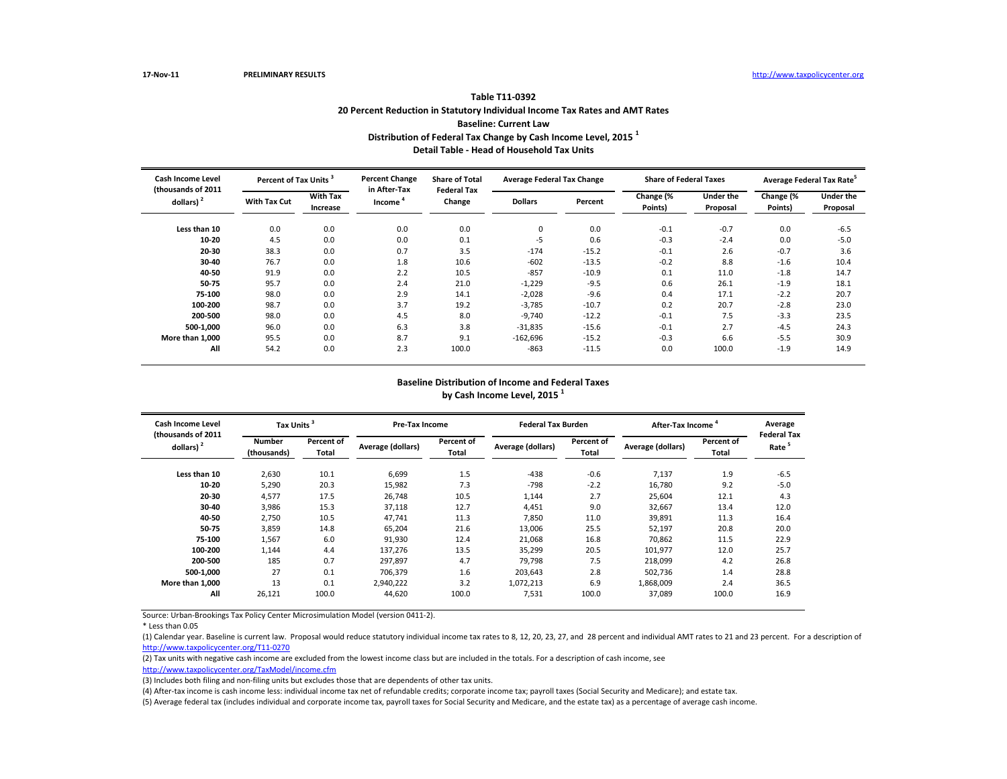\* Less than 0.05

(5) Average federal tax (includes individual and corporate income tax, payroll taxes for Social Security and Medicare, and the estate tax) as a percentage of average cash income.

| Cash Income Level<br>(thousands of 2011 | Percent of Tax Units <sup>3</sup> |                             | <b>Percent Change</b><br>in After-Tax | <b>Share of Total</b><br><b>Federal Tax</b> | <b>Average Federal Tax Change</b> |         | <b>Share of Federal Taxes</b> |                       |                      | Average Federal Tax Rate <sup>5</sup> |
|-----------------------------------------|-----------------------------------|-----------------------------|---------------------------------------|---------------------------------------------|-----------------------------------|---------|-------------------------------|-----------------------|----------------------|---------------------------------------|
| dollars) $2$                            | <b>With Tax Cut</b>               | <b>With Tax</b><br>Increase | Income                                | Change                                      | <b>Dollars</b>                    | Percent | Change (%<br>Points)          | Under the<br>Proposal | Change (%<br>Points) | <b>Under the</b><br>Proposal          |
| Less than 10                            | 0.0                               | 0.0                         | 0.0                                   | 0.0                                         | 0                                 | 0.0     | $-0.1$                        | $-0.7$                | 0.0                  | $-6.5$                                |
| $10 - 20$                               | 4.5                               | 0.0                         | 0.0                                   | 0.1                                         | -5                                | 0.6     | $-0.3$                        | $-2.4$                | 0.0                  | $-5.0$                                |
| $20 - 30$                               | 38.3                              | 0.0                         | 0.7                                   | 3.5                                         | $-174$                            | $-15.2$ | $-0.1$                        | 2.6                   | $-0.7$               | 3.6                                   |
| 30-40                                   | 76.7                              | 0.0                         | 1.8                                   | 10.6                                        | $-602$                            | $-13.5$ | $-0.2$                        | 8.8                   | $-1.6$               | 10.4                                  |
| 40-50                                   | 91.9                              | 0.0                         | 2.2                                   | 10.5                                        | $-857$                            | $-10.9$ | 0.1                           | 11.0                  | $-1.8$               | 14.7                                  |
| 50-75                                   | 95.7                              | 0.0                         | 2.4                                   | 21.0                                        | $-1,229$                          | $-9.5$  | 0.6                           | 26.1                  | $-1.9$               | 18.1                                  |
| 75-100                                  | 98.0                              | 0.0                         | 2.9                                   | 14.1                                        | $-2,028$                          | $-9.6$  | 0.4                           | 17.1                  | $-2.2$               | 20.7                                  |
| 100-200                                 | 98.7                              | 0.0                         | 3.7                                   | 19.2                                        | $-3,785$                          | $-10.7$ | 0.2                           | 20.7                  | $-2.8$               | 23.0                                  |
| 200-500                                 | 98.0                              | 0.0                         | 4.5                                   | 8.0                                         | $-9,740$                          | $-12.2$ | $-0.1$                        | 7.5                   | $-3.3$               | 23.5                                  |
| 500-1,000                               | 96.0                              | 0.0                         | 6.3                                   | 3.8                                         | $-31,835$                         | $-15.6$ | $-0.1$                        | 2.7                   | $-4.5$               | 24.3                                  |
| More than 1,000                         | 95.5                              | 0.0                         | 8.7                                   | 9.1                                         | $-162,696$                        | $-15.2$ | $-0.3$                        | 6.6                   | $-5.5$               | 30.9                                  |
| All                                     | 54.2                              | 0.0                         | 2.3                                   | 100.0                                       | $-863$                            | $-11.5$ | 0.0                           | 100.0                 | $-1.9$               | 14.9                                  |

| Cash Income Level                   | Tax Units <sup>3</sup>       |                            | <b>Pre-Tax Income</b> |                            | <b>Federal Tax Burden</b> |                     | After-Tax Income <sup>4</sup> |                     | Average                                |
|-------------------------------------|------------------------------|----------------------------|-----------------------|----------------------------|---------------------------|---------------------|-------------------------------|---------------------|----------------------------------------|
| (thousands of 2011)<br>dollars) $2$ | <b>Number</b><br>(thousands) | Percent of<br><b>Total</b> | Average (dollars)     | <b>Percent of</b><br>Total | Average (dollars)         | Percent of<br>Total | Average (dollars)             | Percent of<br>Total | <b>Federal Ta</b><br>Rate <sup>5</sup> |
| Less than 10                        | 2,630                        | 10.1                       | 6,699                 | 1.5                        | -438                      | $-0.6$              | 7,137                         | 1.9                 | $-6.5$                                 |
| $10 - 20$                           | 5,290                        | 20.3                       | 15,982                | 7.3                        | -798                      | $-2.2$              | 16,780                        | 9.2                 | $-5.0$                                 |
| 20-30                               | 4,577                        | 17.5                       | 26,748                | 10.5                       | 1,144                     | 2.7                 | 25,604                        | 12.1                | 4.3                                    |
| 30-40                               | 3,986                        | 15.3                       | 37,118                | 12.7                       | 4,451                     | 9.0                 | 32,667                        | 13.4                | 12.0                                   |
| 40-50                               | 2,750                        | 10.5                       | 47,741                | 11.3                       | 7,850                     | 11.0                | 39,891                        | 11.3                | 16.4                                   |
| 50-75                               | 3,859                        | 14.8                       | 65,204                | 21.6                       | 13,006                    | 25.5                | 52,197                        | 20.8                | 20.0                                   |
| 75-100                              | 1,567                        | 6.0                        | 91,930                | 12.4                       | 21,068                    | 16.8                | 70,862                        | 11.5                | 22.9                                   |
| 100-200                             | 1,144                        | 4.4                        | 137,276               | 13.5                       | 35,299                    | 20.5                | 101,977                       | 12.0                | 25.7                                   |
| 200-500                             | 185                          | 0.7                        | 297,897               | 4.7                        | 79,798                    | 7.5                 | 218,099                       | 4.2                 | 26.8                                   |
| 500-1.000                           | 27                           | 0.1                        | 706,379               | 1.6                        | 203,643                   | 2.8                 | 502,736                       | 1.4                 | 28.8                                   |
| More than 1.000                     | 13                           | 0.1                        | 2,940,222             | 3.2                        | 1,072,213                 | 6.9                 | 1,868,009                     | 2.4                 | 36.5                                   |
| All                                 | 26,121                       | 100.0                      | 44,620                | 100.0                      | 7,531                     | 100.0               | 37,089                        | 100.0               | 16.9                                   |

(1) Calendar year. Baseline is current law. Proposal would reduce statutory individual income tax rates to 8, 12, 20, 23, 27, and 28 percent and individual AMT rates to 21 and 23 percent. For a description of [http://www.taxpolicycente](http://www.taxpolicycenter.org/T11-0270)r.org/T11-0270

(2) Tax units with negative cash income are excluded from the lowest income class but are included in the totals. For a description of cash income, see [http://www.taxpolicycente](http://www.taxpolicycenter.org/TaxModel/income.cfm)r.org/TaxModel/income.cfm

(3) Includes both filing and non-filing units but excludes those that are dependents of other tax units.

(4) After-tax income is cash income less: individual income tax net of refundable credits; corporate income tax; payroll taxes (Social Security and Medicare); and estate tax.

### **Baseline Distribution of Income and Federal Taxes by Cash Income Level, 2015 <sup>1</sup>**

| Average<br><b>Federal Tax</b><br>Rate <sup>5</sup>      |  |
|---------------------------------------------------------|--|
| $-6.5$<br>$-5.0$<br>4.3<br>12.0<br>16.4<br>20.0<br>22.9 |  |
| 25.7<br>26.8<br>28.8<br>36.5<br>16.9                    |  |

### **Table T11-0392 20 Percent Reduction in Statutory Individual Income Tax Rates and AMT Rates Baseline: Current Law Distribution of Federal Tax Change by Cash Income Level, 2015 <sup>1</sup> Detail Table - Head of Household Tax Units**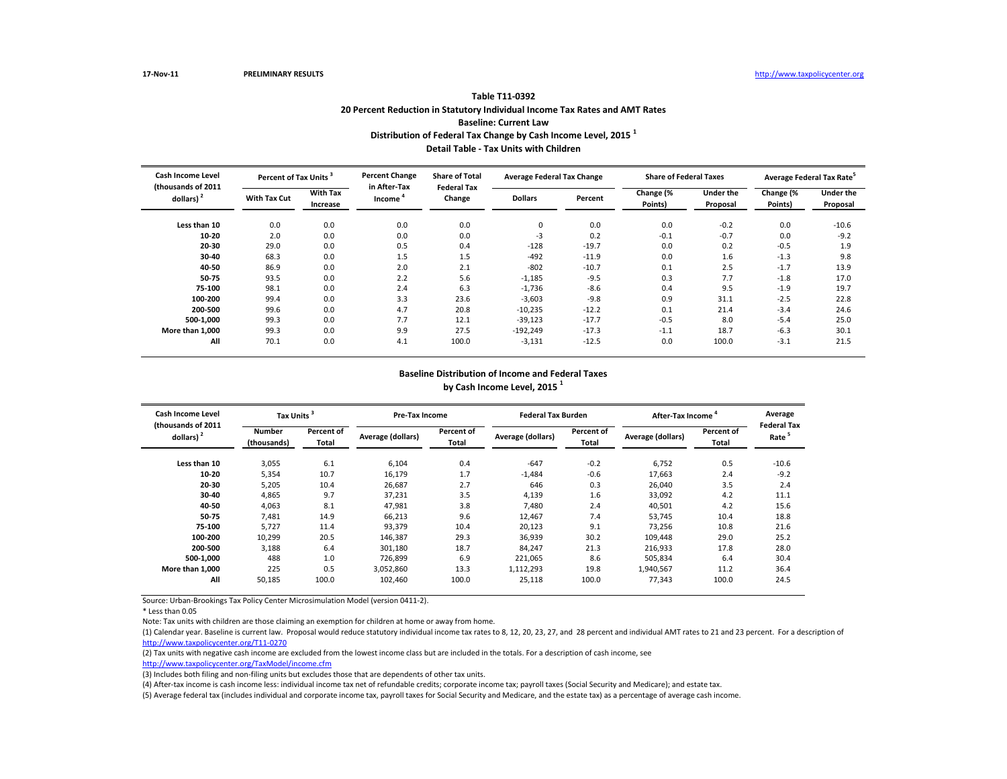\* Less than 0.05

Note: Tax units with children are those claiming an exemption for children at home or away from home.

(5) Average federal tax (includes individual and corporate income tax, payroll taxes for Social Security and Medicare, and the estate tax) as a percentage of average cash income.

| <b>Cash Income Level</b>           | Percent of Tax Units <sup>3</sup> |                             | <b>Percent Change</b>  | <b>Share of Total</b>                          | <b>Average Federal Tax Change</b> |         | <b>Share of Federal Taxes</b> |                              | Average Federal Tax Rate <sup>5</sup> |                              |  |
|------------------------------------|-----------------------------------|-----------------------------|------------------------|------------------------------------------------|-----------------------------------|---------|-------------------------------|------------------------------|---------------------------------------|------------------------------|--|
| (thousands of 2011<br>dollars) $2$ | <b>With Tax Cut</b>               | <b>With Tax</b><br>Increase | in After-Tax<br>Income | <b>Federal Tax</b><br>Change<br><b>Dollars</b> |                                   | Percent | Change (%<br>Points)          | <b>Under the</b><br>Proposal | Change (%<br>Points)                  | <b>Under the</b><br>Proposal |  |
| Less than 10                       | 0.0                               | 0.0                         | 0.0                    | 0.0                                            | 0                                 | 0.0     | 0.0                           | $-0.2$                       | 0.0                                   | $-10.6$                      |  |
| $10 - 20$                          | 2.0                               | 0.0                         | 0.0                    | 0.0                                            | $-3$                              | 0.2     | $-0.1$                        | $-0.7$                       | 0.0                                   | $-9.2$                       |  |
| 20-30                              | 29.0                              | 0.0                         | 0.5                    | 0.4                                            | $-128$                            | $-19.7$ | 0.0                           | 0.2                          | $-0.5$                                | 1.9                          |  |
| $30 - 40$                          | 68.3                              | 0.0                         | 1.5                    | 1.5                                            | $-492$                            | $-11.9$ | 0.0                           | 1.6                          | $-1.3$                                | 9.8                          |  |
| 40-50                              | 86.9                              | 0.0                         | 2.0                    | 2.1                                            | $-802$                            | $-10.7$ | 0.1                           | 2.5                          | $-1.7$                                | 13.9                         |  |
| 50-75                              | 93.5                              | 0.0                         | 2.2                    | 5.6                                            | $-1,185$                          | $-9.5$  | 0.3                           | 7.7                          | $-1.8$                                | 17.0                         |  |
| 75-100                             | 98.1                              | 0.0                         | 2.4                    | 6.3                                            | $-1,736$                          | $-8.6$  | 0.4                           | 9.5                          | $-1.9$                                | 19.7                         |  |
| 100-200                            | 99.4                              | 0.0                         | 3.3                    | 23.6                                           | $-3,603$                          | $-9.8$  | 0.9                           | 31.1                         | $-2.5$                                | 22.8                         |  |
| 200-500                            | 99.6                              | 0.0                         | 4.7                    | 20.8                                           | $-10,235$                         | $-12.2$ | 0.1                           | 21.4                         | $-3.4$                                | 24.6                         |  |
| 500-1,000                          | 99.3                              | 0.0                         | 7.7                    | 12.1                                           | $-39,123$                         | $-17.7$ | $-0.5$                        | 8.0                          | $-5.4$                                | 25.0                         |  |
| More than 1,000                    | 99.3                              | 0.0                         | 9.9                    | 27.5                                           | $-192,249$                        | $-17.3$ | $-1.1$                        | 18.7                         | $-6.3$                                | 30.1                         |  |
| All                                | 70.1                              | 0.0                         | 4.1                    | 100.0                                          | $-3,131$                          | $-12.5$ | 0.0                           | 100.0                        | $-3.1$                                | 21.5                         |  |

| <b>Cash Income Level</b><br>(thousands of 2011 | Tax Units <sup>3</sup>       |                            | <b>Pre-Tax Income</b> |                            | <b>Federal Tax Burden</b> |                            | After-Tax Income <sup>4</sup> |                     | Average<br><b>Federal Ta</b> |  |
|------------------------------------------------|------------------------------|----------------------------|-----------------------|----------------------------|---------------------------|----------------------------|-------------------------------|---------------------|------------------------------|--|
| dollars) $2$                                   | <b>Number</b><br>(thousands) | Percent of<br><b>Total</b> | Average (dollars)     | <b>Percent of</b><br>Total | Average (dollars)         | Percent of<br><b>Total</b> | Average (dollars)             | Percent of<br>Total | Rate <sup>5</sup>            |  |
| Less than 10                                   | 3,055                        | 6.1                        | 6,104                 | 0.4                        | $-647$                    | $-0.2$                     | 6,752                         | 0.5                 | $-10.6$                      |  |
| $10 - 20$                                      | 5,354                        | 10.7                       | 16,179                | 1.7                        | $-1,484$                  | $-0.6$                     | 17,663                        | 2.4                 | $-9.2$                       |  |
| $20 - 30$                                      | 5,205                        | 10.4                       | 26,687                | 2.7                        | 646                       | 0.3                        | 26,040                        | 3.5                 | 2.4                          |  |
| 30-40                                          | 4,865                        | 9.7                        | 37,231                | 3.5                        | 4,139                     | 1.6                        | 33,092                        | 4.2                 | 11.1                         |  |
| 40-50                                          | 4,063                        | 8.1                        | 47,981                | 3.8                        | 7,480                     | 2.4                        | 40,501                        | 4.2                 | 15.6                         |  |
| 50-75                                          | 7,481                        | 14.9                       | 66,213                | 9.6                        | 12,467                    | 7.4                        | 53,745                        | 10.4                | 18.8                         |  |
| 75-100                                         | 5,727                        | 11.4                       | 93,379                | 10.4                       | 20,123                    | 9.1                        | 73,256                        | 10.8                | 21.6                         |  |
| 100-200                                        | 10,299                       | 20.5                       | 146,387               | 29.3                       | 36,939                    | 30.2                       | 109,448                       | 29.0                | 25.2                         |  |
| 200-500                                        | 3,188                        | 6.4                        | 301,180               | 18.7                       | 84,247                    | 21.3                       | 216,933                       | 17.8                | 28.0                         |  |
| 500-1,000                                      | 488                          | 1.0                        | 726,899               | 6.9                        | 221,065                   | 8.6                        | 505,834                       | 6.4                 | 30.4                         |  |
| More than 1,000                                | 225                          | 0.5                        | 3,052,860             | 13.3                       | 1,112,293                 | 19.8                       | 1,940,567                     | 11.2                | 36.4                         |  |
| All                                            | 50,185                       | 100.0                      | 102,460               | 100.0                      | 25,118                    | 100.0                      | 77,343                        | 100.0               | 24.5                         |  |

(1) Calendar year. Baseline is current law. Proposal would reduce statutory individual income tax rates to 8, 12, 20, 23, 27, and 28 percent and individual AMT rates to 21 and 23 percent. For a description of [http://www.taxpolicycente](http://www.taxpolicycenter.org/T11-0270)r.org/T11-0270

(2) Tax units with negative cash income are excluded from the lowest income class but are included in the totals. For a description of cash income, see

[http://www.taxpolicycente](http://www.taxpolicycenter.org/TaxModel/income.cfm)r.org/TaxModel/income.cfm

(3) Includes both filing and non-filing units but excludes those that are dependents of other tax units.

(4) After-tax income is cash income less: individual income tax net of refundable credits; corporate income tax; payroll taxes (Social Security and Medicare); and estate tax.

### **Baseline Distribution of Income and Federal Taxes by Cash Income Level, 2015 <sup>1</sup>**

| Average<br><b>Federal Tax</b><br>Rate <sup>5</sup>                                     |  |
|----------------------------------------------------------------------------------------|--|
| -10.6<br>$-9.2$<br>2.4<br>11.1<br>15.6<br>18.8<br>21.6<br>25.2<br>28.0<br>30.4<br>36.4 |  |
| 24.5                                                                                   |  |

## **Table T11-0392 20 Percent Reduction in Statutory Individual Income Tax Rates and AMT Rates Baseline: Current Law Distribution of Federal Tax Change by Cash Income Level, 2015 <sup>1</sup> Detail Table - Tax Units with Children**